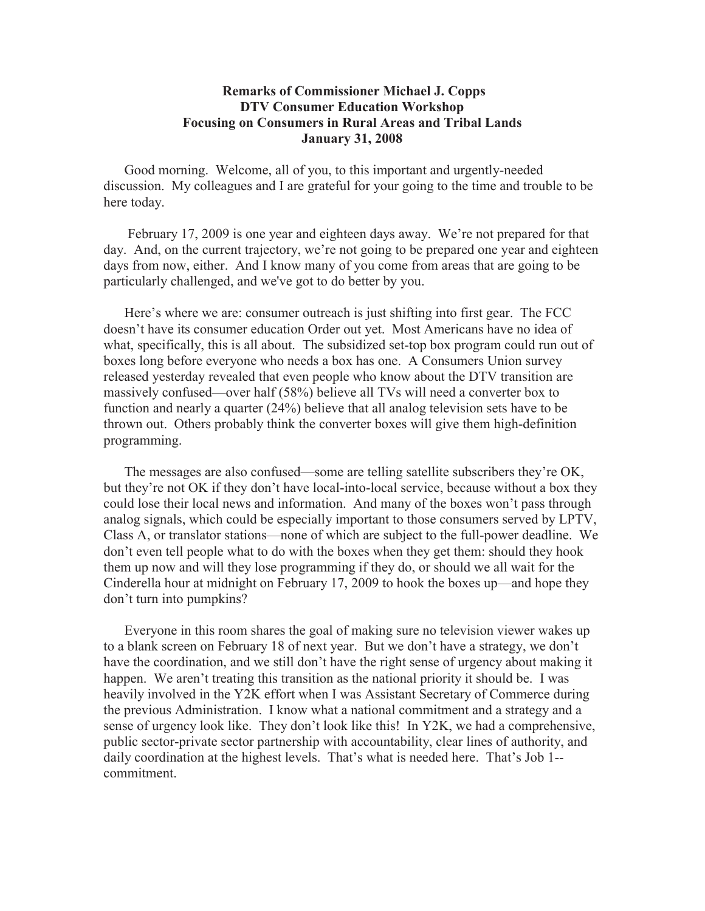## **Remarks of Commissioner Michael J. Copps DTV Consumer Education Workshop Focusing on Consumers in Rural Areas and Tribal Lands January 31, 2008**

Good morning. Welcome, all of you, to this important and urgently-needed discussion. My colleagues and I are grateful for your going to the time and trouble to be here today.

February 17, 2009 is one year and eighteen days away. We're not prepared for that day. And, on the current trajectory, we're not going to be prepared one year and eighteen days from now, either. And I know many of you come from areas that are going to be particularly challenged, and we've got to do better by you.

Here's where we are: consumer outreach is just shifting into first gear. The FCC doesn't have its consumer education Order out yet. Most Americans have no idea of what, specifically, this is all about. The subsidized set-top box program could run out of boxes long before everyone who needs a box has one. A Consumers Union survey released yesterday revealed that even people who know about the DTV transition are massively confused—over half (58%) believe all TVs will need a converter box to function and nearly a quarter (24%) believe that all analog television sets have to be thrown out. Others probably think the converter boxes will give them high-definition programming.

The messages are also confused—some are telling satellite subscribers they're OK, but they're not OK if they don't have local-into-local service, because without a box they could lose their local news and information. And many of the boxes won't pass through analog signals, which could be especially important to those consumers served by LPTV, Class A, or translator stations—none of which are subject to the full-power deadline. We don't even tell people what to do with the boxes when they get them: should they hook them up now and will they lose programming if they do, or should we all wait for the Cinderella hour at midnight on February 17, 2009 to hook the boxes up—and hope they don't turn into pumpkins?

Everyone in this room shares the goal of making sure no television viewer wakes up to a blank screen on February 18 of next year. But we don't have a strategy, we don't have the coordination, and we still don't have the right sense of urgency about making it happen. We aren't treating this transition as the national priority it should be. I was heavily involved in the Y2K effort when I was Assistant Secretary of Commerce during the previous Administration. I know what a national commitment and a strategy and a sense of urgency look like. They don't look like this! In Y2K, we had a comprehensive, public sector-private sector partnership with accountability, clear lines of authority, and daily coordination at the highest levels. That's what is needed here. That's Job 1- commitment.